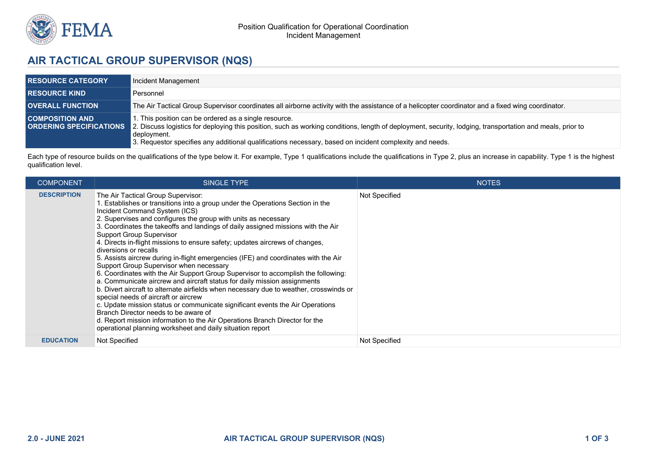

## **AIR TACTICAL GROUP SUPERVISOR (NQS)**

| <b>RESOURCE CATEGORY</b> | Incident Management                                                                                                                                                                                                                                                                                                                                                    |
|--------------------------|------------------------------------------------------------------------------------------------------------------------------------------------------------------------------------------------------------------------------------------------------------------------------------------------------------------------------------------------------------------------|
| <b>RESOURCE KIND</b>     | Personnel                                                                                                                                                                                                                                                                                                                                                              |
| <b>OVERALL FUNCTION</b>  | The Air Tactical Group Supervisor coordinates all airborne activity with the assistance of a helicopter coordinator and a fixed wing coordinator.                                                                                                                                                                                                                      |
| <b>COMPOSITION AND</b>   | 1. This position can be ordered as a single resource.<br>ORDERING SPECIFICATIONS 2. Discuss logistics for deploying this position, such as working conditions, length of deployment, security, lodging, transportation and meals, prior to<br>  deployment.<br>3. Requestor specifies any additional qualifications necessary, based on incident complexity and needs. |

Each type of resource builds on the qualifications of the type below it. For example, Type 1 qualifications include the qualifications in Type 2, plus an increase in capability. Type 1 is the highest qualification level.

| <b>COMPONENT</b>   | <b>SINGLE TYPE</b>                                                                                                                                                                                                                                                                                                                                                                                                                                                                                                                                                                                                                                                                                                                                                                                                                                                                                                                                                                                                                                                                                                                                               | <b>NOTES</b>  |
|--------------------|------------------------------------------------------------------------------------------------------------------------------------------------------------------------------------------------------------------------------------------------------------------------------------------------------------------------------------------------------------------------------------------------------------------------------------------------------------------------------------------------------------------------------------------------------------------------------------------------------------------------------------------------------------------------------------------------------------------------------------------------------------------------------------------------------------------------------------------------------------------------------------------------------------------------------------------------------------------------------------------------------------------------------------------------------------------------------------------------------------------------------------------------------------------|---------------|
| <b>DESCRIPTION</b> | The Air Tactical Group Supervisor:<br>1. Establishes or transitions into a group under the Operations Section in the<br>Incident Command System (ICS)<br>2. Supervises and configures the group with units as necessary<br>3. Coordinates the takeoffs and landings of daily assigned missions with the Air<br><b>Support Group Supervisor</b><br>4. Directs in-flight missions to ensure safety; updates aircrews of changes,<br>diversions or recalls<br>5. Assists aircrew during in-flight emergencies (IFE) and coordinates with the Air<br>Support Group Supervisor when necessary<br>6. Coordinates with the Air Support Group Supervisor to accomplish the following:<br>a. Communicate aircrew and aircraft status for daily mission assignments<br>b. Divert aircraft to alternate airfields when necessary due to weather, crosswinds or<br>special needs of aircraft or aircrew<br>c. Update mission status or communicate significant events the Air Operations<br>Branch Director needs to be aware of<br>d. Report mission information to the Air Operations Branch Director for the<br>operational planning worksheet and daily situation report | Not Specified |
| <b>EDUCATION</b>   | Not Specified                                                                                                                                                                                                                                                                                                                                                                                                                                                                                                                                                                                                                                                                                                                                                                                                                                                                                                                                                                                                                                                                                                                                                    | Not Specified |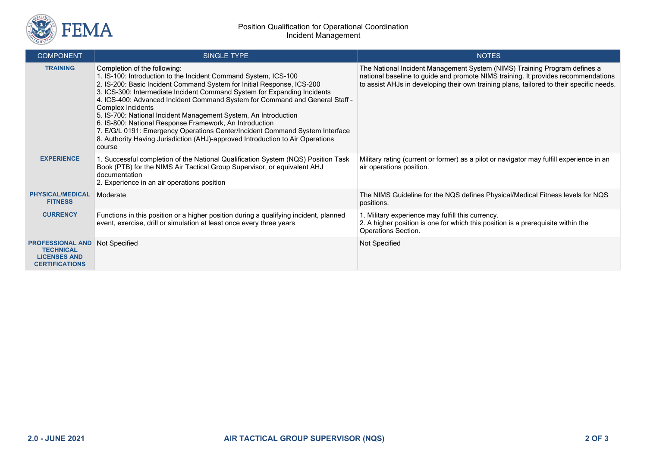

| <b>COMPONENT</b>                                                                            | <b>SINGLE TYPE</b>                                                                                                                                                                                                                                                                                                                                                                                                                                                                                                                                                                                                                                                   | <b>NOTES</b>                                                                                                                                                                                                                                               |
|---------------------------------------------------------------------------------------------|----------------------------------------------------------------------------------------------------------------------------------------------------------------------------------------------------------------------------------------------------------------------------------------------------------------------------------------------------------------------------------------------------------------------------------------------------------------------------------------------------------------------------------------------------------------------------------------------------------------------------------------------------------------------|------------------------------------------------------------------------------------------------------------------------------------------------------------------------------------------------------------------------------------------------------------|
| <b>TRAINING</b>                                                                             | Completion of the following:<br>1. IS-100: Introduction to the Incident Command System, ICS-100<br>2. IS-200: Basic Incident Command System for Initial Response, ICS-200<br>3. ICS-300: Intermediate Incident Command System for Expanding Incidents<br>4. ICS-400: Advanced Incident Command System for Command and General Staff -<br>Complex Incidents<br>5. IS-700: National Incident Management System, An Introduction<br>6. IS-800: National Response Framework, An Introduction<br>7. E/G/L 0191: Emergency Operations Center/Incident Command System Interface<br>8. Authority Having Jurisdiction (AHJ)-approved Introduction to Air Operations<br>course | The National Incident Management System (NIMS) Training Program defines a<br>national baseline to guide and promote NIMS training. It provides recommendations<br>to assist AHJs in developing their own training plans, tailored to their specific needs. |
| <b>EXPERIENCE</b>                                                                           | 1. Successful completion of the National Qualification System (NQS) Position Task<br>Book (PTB) for the NIMS Air Tactical Group Supervisor, or equivalent AHJ<br>documentation<br>2. Experience in an air operations position                                                                                                                                                                                                                                                                                                                                                                                                                                        | Military rating (current or former) as a pilot or navigator may fulfill experience in an<br>air operations position.                                                                                                                                       |
| <b>PHYSICAL/MEDICAL</b><br><b>FITNESS</b>                                                   | Moderate                                                                                                                                                                                                                                                                                                                                                                                                                                                                                                                                                                                                                                                             | The NIMS Guideline for the NQS defines Physical/Medical Fitness levels for NQS<br>positions.                                                                                                                                                               |
| <b>CURRENCY</b>                                                                             | Functions in this position or a higher position during a qualifying incident, planned<br>event, exercise, drill or simulation at least once every three years                                                                                                                                                                                                                                                                                                                                                                                                                                                                                                        | 1. Military experience may fulfill this currency.<br>2. A higher position is one for which this position is a prerequisite within the<br>Operations Section.                                                                                               |
| <b>PROFESSIONAL AND</b><br><b>TECHNICAL</b><br><b>LICENSES AND</b><br><b>CERTIFICATIONS</b> | Not Specified                                                                                                                                                                                                                                                                                                                                                                                                                                                                                                                                                                                                                                                        | Not Specified                                                                                                                                                                                                                                              |